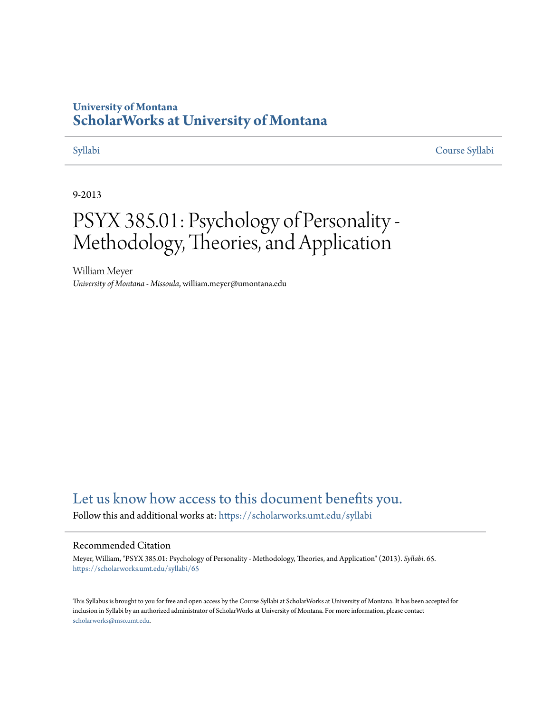## **University of Montana [ScholarWorks at University of Montana](https://scholarworks.umt.edu?utm_source=scholarworks.umt.edu%2Fsyllabi%2F65&utm_medium=PDF&utm_campaign=PDFCoverPages)**

[Syllabi](https://scholarworks.umt.edu/syllabi?utm_source=scholarworks.umt.edu%2Fsyllabi%2F65&utm_medium=PDF&utm_campaign=PDFCoverPages) [Course Syllabi](https://scholarworks.umt.edu/course_syllabi?utm_source=scholarworks.umt.edu%2Fsyllabi%2F65&utm_medium=PDF&utm_campaign=PDFCoverPages)

#### 9-2013

# PSYX 385.01: Psychology of Personality - Methodology, Theories, and Application

William Meyer *University of Montana - Missoula*, william.meyer@umontana.edu

# [Let us know how access to this document benefits you.](https://goo.gl/forms/s2rGfXOLzz71qgsB2)

Follow this and additional works at: [https://scholarworks.umt.edu/syllabi](https://scholarworks.umt.edu/syllabi?utm_source=scholarworks.umt.edu%2Fsyllabi%2F65&utm_medium=PDF&utm_campaign=PDFCoverPages)

#### Recommended Citation

Meyer, William, "PSYX 385.01: Psychology of Personality - Methodology, Theories, and Application" (2013). *Syllabi*. 65. [https://scholarworks.umt.edu/syllabi/65](https://scholarworks.umt.edu/syllabi/65?utm_source=scholarworks.umt.edu%2Fsyllabi%2F65&utm_medium=PDF&utm_campaign=PDFCoverPages)

This Syllabus is brought to you for free and open access by the Course Syllabi at ScholarWorks at University of Montana. It has been accepted for inclusion in Syllabi by an authorized administrator of ScholarWorks at University of Montana. For more information, please contact [scholarworks@mso.umt.edu](mailto:scholarworks@mso.umt.edu).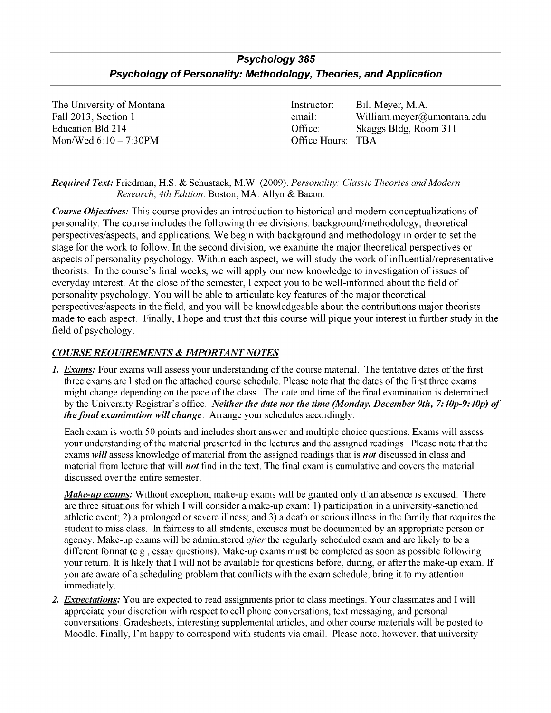### *Psychology 385 Psychology of Personality: Methodology, Theories, and Application*

Mon/Wed  $6:10 - 7:30$  PM  $\bullet$  Office Hours: TBA

The University of Montana **Instructor:** Bill Meyer, M.A. Fall 2013, Section 1 email: William.meyer@umontana.edu Education Bid 214 Office: Skaggs Bldg, Room 311

*Required Text:* Friedman, H.S. & Schustack, M.W. (2009). *Personality: Classic Theories and Modern Research, 4th Edition.* Boston, MA: Allyn & Bacon.

*Course Objectives:* This course provides an introduction to historical and modem conceptualizations of personality. The course includes the following three divisions: background/methodology, theoretical perspectives/aspects, and applications. We begin with background and methodology in order to set the stage for the work to follow. In the second division, we examine the major theoretical perspectives or aspects of personality psychology. Within each aspect, we will study the work of influential/representative theorists. In the course's final weeks, we will apply our new knowledge to investigation of issues of everyday interest. At the close of the semester, I expect you to be well-informed about the field of personality psychology. You will be able to articulate key features of the major theoretical perspectives/aspects in the field, and you will be knowledgeable about the contributions major theorists made to each aspect. Finally, I hope and trust that this course will pique your interest in further study in the field of psychology.

#### *COURSE REQUIREMENTS & IMPORTANT NOTES*

*1. Exams:* Four exams will assess your understanding of the course material. The tentative dates of the first three exams are listed on the attached course schedule. Please note that the dates of the first three exams might change depending on the pace of the class. The date and time of the final examination is determined by the University Registrar's office. *Neither the date nor the time (Monday. December 9th, 7:40p-9:40p) of the final examination will change.* Arrange your schedules accordingly.

Each exam is worth 50 points and includes short answer and multiple choice questions. Exams will assess your understanding of the material presented in the lectures and the assigned readings. Please note that the exams *will* assess knowledge of material from the assigned readings that is *not* discussed in class and material from lecture that will *not* find in the text. The final exam is cumulative and covers the material discussed over the entire semester.

*Make-up exams:* Without exception, make-up exams will be granted only if an absence is excused. There are three situations for which I will consider a make-up exam: 1) participation in a university-sanctioned athletic event; 2) a prolonged or severe illness; and 3) a death or serious illness in the family that requires the student to miss class. In fairness to all students, excuses must be documented by an appropriate person or agency. Make-up exams will be administered *after* the regularly scheduled exam and are likely to be a different format (e.g., essay questions). Make-up exams must be completed as soon as possible following your return. It is likely that I will not be available for questions before, during, or after the make-up exam. If you are aware of a scheduling problem that conflicts with the exam schedule, bring it to my attention immediately.

*2. Expectations:* You are expected to read assignments prior to class meetings. Your classmates and I will appreciate your discretion with respect to cell phone conversations, text messaging, and personal conversations. Gradesheets, interesting supplemental articles, and other course materials will be posted to Moodle. Finally, I'm happy to correspond with students via email. Please note, however, that university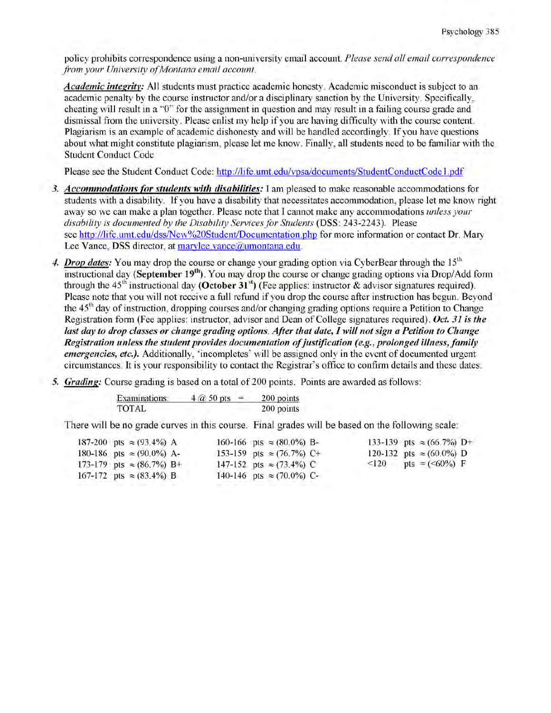policy prohibits correspondence using a non-university email account. *Please send all email correspondence from your University of Montana email account.* 

*Academic intearitv:* All students must practice academic honesty. Academic misconduct is subject to an academic penalty by the course instructor and/or a disciplinary sanction by the University. Specifically, cheating will result in a "0" for the assignment in question and may result in a failing course grade and dismissal from the university. Please enlist my help if you are having difficulty with the course content. Plagiarism is an example of academic dishonesty and will be handled accordingly. If you have questions about what might constitute plagiarism, please let me know. Finally, all students need to be familiar with the Student Conduct Code

Please see the Student Conduct Code: http://life.umt.edu/vpsa/documents/StudentConductCode 1 .pdf

- *3. Accommodations for students with disabilities:* I am pleased to make reasonable accommodations for students with a disability. If you have a disability that necessitates accommodation, please let me know right away so we can make a plan together. Please note that I cannot make any accommodations *unless your disability is documented by the Disability Services for Students* (DSS: 243-2243). Please see http://life.umt.edu/dss/New%20Student/Documentation.php for more information or contact Dr. Mary Lee Vance, DSS director, at marvlee.vance@umontana.edu.
- 4. *Drop dates:* You may drop the course or change your grading option via CyberBear through the 15<sup>th</sup> instructional day **(September 19th).** You may drop the course or change grading options via Drop/Add form through the  $45<sup>th</sup>$  instructional day **(October 31<sup>st</sup>)** (Fee applies: instructor & advisor signatures required). Please note that you will not receive a full refund if you drop the course after instruction has begun. Beyond the  $45<sup>th</sup>$  day of instruction, dropping courses and/or changing grading options require a Petition to Change Registration form (Fee applies: instructor, advisor and Dean of College signatures required). *Oct. 31 is the last day to drop classes or change grading options. After that date, I will not sign a Petition to Change Registration unless the student provides documentation of justification (e.g., prolonged illness, family emergencies, etc.*). Additionally, 'incompletes' will be assigned only in the event of documented urgent circumstances. It is your responsibility to contact the Registrar's office to confirm details and these dates.
- 5. *Grading:* Course grading is based on a total of 200 points. Points are awarded as follows:

| Examinations: | $4 \times 50$ pts. | 200 points |
|---------------|--------------------|------------|
| <b>TOTAL</b>  |                    | 200 points |

There will be no grade curves in this course. Final grades will be based on the following scale:

|  | 187-200 pts $\approx$ (93.4%) A  |  | 160-166 pts $\approx (80.0\%)$ B- |            | 133-139 pts $\approx$ (66.7%) D+ |  |
|--|----------------------------------|--|-----------------------------------|------------|----------------------------------|--|
|  | 180-186 pts $\approx$ (90.0%) A- |  | 153-159 pts $\approx$ (76.7%) C+  |            | 120-132 pts $\approx$ (60.0%) D  |  |
|  | 173-179 pts $\approx$ (86.7%) B+ |  | 147-152 pts $\approx$ (73.4%) C   | $\leq$ 120 | pts = $(<60\%)$ F                |  |
|  | 167-172 pts $\approx$ (83.4%) B  |  | 140-146 pts $\approx$ (70.0%) C-  |            |                                  |  |